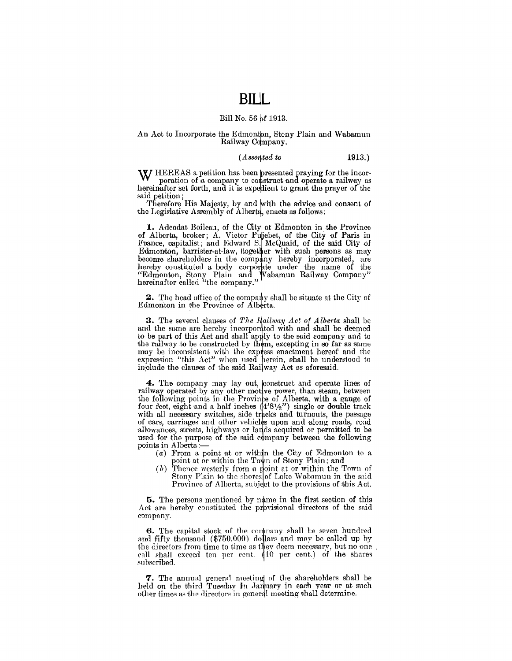## **BILL**

## Bill No. 56 of 1913.

### An Act to Incorporate the Edmonton, Stony Plain and Wabamun Railway Company.

#### $(A$ ssented to  $1913.)$

W HEREAS a petition has been presented praying for the incorporation of a company to construct and operate a railway as hereinafter set forth, and it is expedient to grant the prayer of the said petition;

Therefore His Majesty, by and with the advice and consent of the Legislative Assembly of Alberta, enacts as follows:

1. Adeodat Boileau, of the City of Edmonton in the Province 1. Adeodat Bonead, of the City of Edmonton in the Frovince<br>of Alberta, broker; A. Victor Pujebet, of the City of Paris in<br>France, capitalist; and Edward S. McQuaid, of the said City of<br>Edmonton, barrister-at-law, itogether

**2.** The head office of the company shall be situate at the City of Edmonton in the Province of Alberta.

3. The several clauses of The Hailway Act of Alberta shall be and the same are hereby incorporated with and shall be deemed to be part of this Act and shall apply to the said company and to the railway to be constructed by them, excepting in so far as same<br>may be inconsistent with the express enactment hereof and the<br>expression "this Act" when used herein, shall be understood to include the clauses of the said Railway Act as aforesaid.

4. The company may lay out, construct and operate lines of railway operated by any other motive power, than steam, between the following points in the Province of Alberta, with a gauge of<br>the following points in the Province of Alberta, with a gauge of<br>four feet, eight and a half inches (4'81/2") single or double track<br>with all necessary switc allowances, streets, highways or lands acquired or permitted to be used for the purpose of the said company between the following points in Alberta:-

- $(a)$  From a point at or within the City of Edmonton to a point at or within the Town of Stony Plain; and
- (b) Thence westerly from a point at or within the Town of Stony Plain to the shores of Lake Wabamun in the said Province of Alberta, subject to the provisions of this Act.

**5.** The persons mentioned by name in the first section of this Act are hereby constituted the provisional directors of the said company.

6. The capital stock of the company shall be seven hundred and fifty thousand (\$750.000) dollars and may be called up by the directors from time to time as they deem necessary, but no one call shall exceed ten per cent. (10 per cent.) of the shares subscribed.

7. The annual general meeting of the shareholders shall be held on the third Tuesday in January in each year or at such other times as the directors in general meeting shall determine.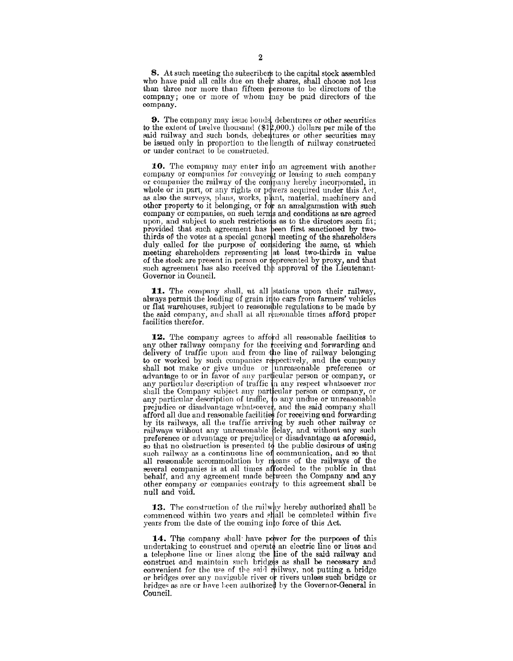8. At such meeting the subscribers to the capital stock assembled who have paid all calls due on the'r shares, shall chooso not less than three nor more than fifteen persons to be directors of the  $company:$  one or more of whom  $\frac{1}{2}$  have be paid directors of the oompany.

9. The company may issue bonds, debentures or other securities to the extent of twelve thousand  $(\$12,000.)$  dollars per mile of the said railway and such bonds, debentures or other securities may be issued only in proportion to the length of railway constructed or under contract to be coustructeu.

10. The company may enter into an agreement with another company or companies for conveying or leasing to such company or companies the railway of the company hereby incorporated, in whole or in part, or any rights or powers acquired under this Act, as also the surveys, plans, works, plant, material, machinery and other property to it belonging, or for an amalgamation with such company or companies, on such terms and conditions as are agreed upon, and subject to such restrictions as to the directors seem fit; provided that such agreement has been first sanctioned by twothirds of the votes at a special general meeting of the shareholders duly called for the purpose of considering the same, at which meeting shareholders representing at least two-thirds in value of the stock are preeent in person or epresented by proxy, and that such agreement has also received the approval of the Lieutenant-Governor in Council.

11. The company shall, at all stations upon their railway, always permit the loading of grain into cars from farmers' vehicles or flat warehouses, subject to reasonable regulations to be made by the said company, and shall at all reasonable times afford proper facilities therefor.

12. The company agrees to afford all reasonable faoilities to any other railway company for the receiving and florwarding and delivery of traffic upon and from the line of railway belonging to or worked by such companies respectively, and the company shall not make or give undue or unreasonable preference or advantage to or in favor of any particular person or company, or any particular description of traffic in any respect whatsoever nor shall the Company subject any particular person or company, or any particular description of traffic, to any undue or unreasonable prejudice or disadvantage whatsoever, and the said company shall afford all due and reasonable facilities for receiving and forwarding by its railways, all the traffic arriving by such other railway or railways without any unreasonable delay, and without any such preference or advantage or prejudice or disadvantage as aforesaid, so that no obstruction is presented to the public desirous of using such railway as a continuous line of communication, and so that all reasonable accommodation by means of the railways of the several companies is at all times afforded to the public in that behalf, and any agreement made between the Company and any other company or companies contrary to this agreement shall be null and void.

13. The construction of the railway hereby authorized shall be commenced within two years and shall be completed within five years from the date of the coming into force of this  $\Lambda$ ct.

14. The company shall have power for the purposes of this undertaking to construct and operate an electric line or lines and a telephone line or lines along the line of the said railway and construct and maintain such bridges as shall be necessary and convenient for the use of the said railway, not putting a bridge or bridges over any navigable river or rivers unless such bridge or bridges as are or have been authorized by the Governor-General in Council.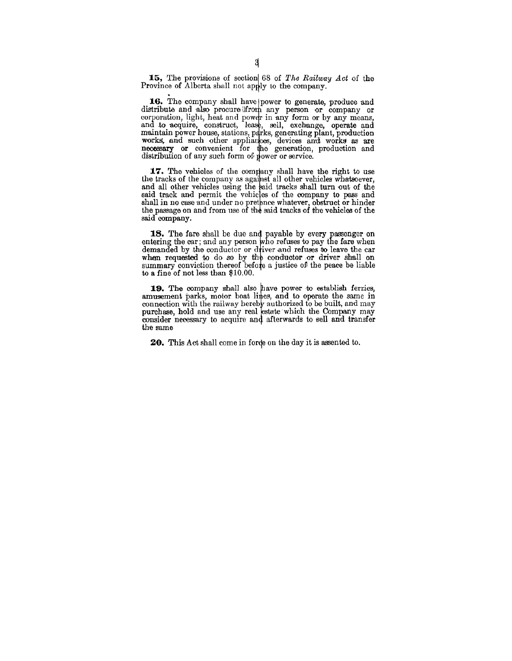15, The provisions of section 68 of *The Railway Act* of the Province of Alberta shall not apply to the company.

16. The company shall have power to generate, produce and distribute and also procure from any person or company or corporation, light, heat and power in any form or by any means, and to acquire, construct, lease, sell, exchange, operate and maintain power house, stations, parks, generating plant, production works, and such other appliances, devices and works as are necessary or convenient for the generation, production and distribution of any such form of power or service.

17. The vehicles of the company shall have the right to use the tracks of the company as against all other vehicles whatsoever, and all other vehicles using the said tracks shall turn out of the said track and permit the vehicles of the company to pass and shall in no case and under no pretence whatever, obstruct or hinder the passage on and from use of the said tracks of the vehicles of the said company.

18. The fare shall be due and payable by every passenger on entering the car; and any person who refuses to pay the fare when demanded by the conductor or driver and refuses to leave the car when requested to do so by the conductor or driver shall on summary conviction thereof before a justice of the peace be liable to a fine of not less than \$10.00.

19. The company shall also have power to establish ferries, amusement parks, motor boat lines, and to operate the same in connection with the railway hereby authorized to be built, and may purchase, hold and use any real estate which the Company may consider necessary to acquire and afterwards to sell and transfer the same

**20.** This Act shall come in forde on the day it is assented to.